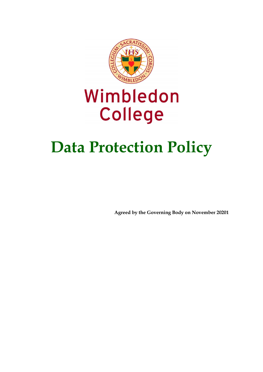

# Wimbledon College

# **Data Protection Policy**

**Agreed by the Governing Body on November 20201**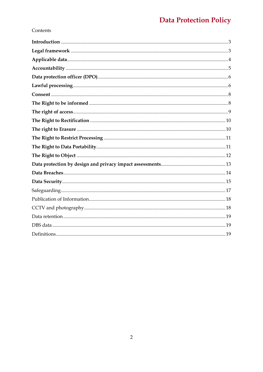#### Contents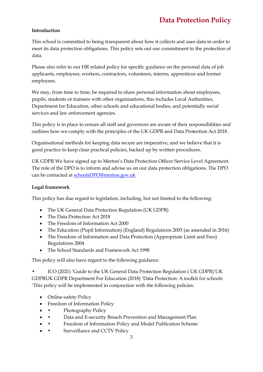#### <span id="page-2-0"></span>**Introduction**

This school is committed to being transparent about how it collects and uses data in order to meet its data protection obligations. This policy sets out our commitment to the protection of data.

Please also refer to our HR related policy for specific guidance on the personal data of job applicants, employees, workers, contractors, volunteers, interns, apprentices and former employees.

We may, from time to time, be required to share personal information about employees, pupils, students or trainees with other organisations, this includes Local Authorities, Department for Education, other schools and educational bodies, and potentially social services and law enforcement agencies.

This policy is in place to ensure all staff and governors are aware of their responsibilities and outlines how we comply with the principles of the UK GDPR and Data Protection Act 2018.

Organisational methods for keeping data secure are imperative, and we believe that it is good practice to keep clear practical policies, backed up by written procedures.

UK GDPR We have signed up to Merton's Data Protection Officer Service Level Agreement. The role of the DPO is to inform and advise us on our data protection obligations. The DPO can be contacted at [schoolsDPO@merton.gov.uk](mailto:schoolsDPO@merton.gov.uk)

#### <span id="page-2-1"></span>**Legal framework**

This policy has due regard to legislation, including, but not limited to the following:

- The UK General Data Protection Regulation (UK GDPR)
- The Data Protection Act 2018
- The Freedom of Information Act 2000
- The Education (Pupil Information) (England) Regulations 2005 (as amended in 2016)
- The Freedom of Information and Data Protection (Appropriate Limit and Fees) Regulations 2004
- The School Standards and Framework Act 1998

This policy will also have regard to the following guidance:

• ICO (2021) 'Guide to the UK General Data Protection Regulation ( UK GDPR)'UK GDPRUK GDPR Department For Education (2018) 'Data Protection: A toolkit for schools 'This policy will be implemented in conjunction with the following policies:

- Online-safety Policy
- Freedom of Information Policy
- • Photography Policy
- • Data and E-security Breach Prevention and Management Plan
- Freedom of Information Policy and Model Publication Scheme
- • Surveillance and CCTV Policy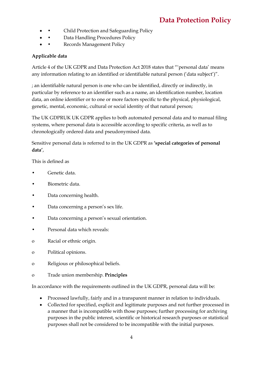- • Child Protection and Safeguarding Policy
- • Data Handling Procedures Policy
- Records Management Policy

#### <span id="page-3-0"></span>**Applicable data**

Article 4 of the UK GDPR and Data Protection Act 2018 states that "'personal data' means any information relating to an identified or identifiable natural person ('data subject')".

; an identifiable natural person is one who can be identified, directly or indirectly, in particular by reference to an identifier such as a name, an identification number, location data, an online identifier or to one or more factors specific to the physical, physiological, genetic, mental, economic, cultural or social identity of that natural person;

The UK GDPRUK UK GDPR applies to both automated personal data and to manual filing systems, where personal data is accessible according to specific criteria, as well as to chronologically ordered data and pseudonymised data.

Sensitive personal data is referred to in the UK GDPR as **'special categories of personal data'**,

This is defined as

- Genetic data.
- Biometric data.
- Data concerning health.
- Data concerning a person's sex life.
- Data concerning a person's sexual orientation.
- Personal data which reveals:
- o Racial or ethnic origin.
- o Political opinions.
- o Religious or philosophical beliefs.
- o Trade union membership. **Principles**

In accordance with the requirements outlined in the UK GDPR, personal data will be:

- Processed lawfully, fairly and in a transparent manner in relation to individuals.
- Collected for specified, explicit and legitimate purposes and not further processed in a manner that is incompatible with those purposes; further processing for archiving purposes in the public interest, scientific or historical research purposes or statistical purposes shall not be considered to be incompatible with the initial purposes.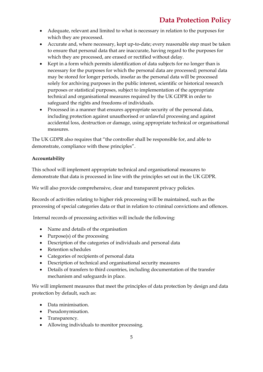- Adequate, relevant and limited to what is necessary in relation to the purposes for which they are processed.
- Accurate and, where necessary, kept up-to-date; every reasonable step must be taken to ensure that personal data that are inaccurate, having regard to the purposes for which they are processed, are erased or rectified without delay.
- Kept in a form which permits identification of data subjects for no longer than is necessary for the purposes for which the personal data are processed; personal data may be stored for longer periods, insofar as the personal data will be processed solely for archiving purposes in the public interest, scientific or historical research purposes or statistical purposes, subject to implementation of the appropriate technical and organisational measures required by the UK GDPR in order to safeguard the rights and freedoms of individuals.
- Processed in a manner that ensures appropriate security of the personal data, including protection against unauthorised or unlawful processing and against accidental loss, destruction or damage, using appropriate technical or organisational measures.

The UK GDPR also requires that "the controller shall be responsible for, and able to demonstrate, compliance with these principles".

#### <span id="page-4-0"></span>**Accountability**

This school will implement appropriate technical and organisational measures to demonstrate that data is processed in line with the principles set out in the UK GDPR.

We will also provide comprehensive, clear and transparent privacy policies.

Records of activities relating to higher risk processing will be maintained, such as the processing of special categories data or that in relation to criminal convictions and offences.

Internal records of processing activities will include the following:

- Name and details of the organisation
- Purpose(s) of the processing
- Description of the categories of individuals and personal data
- Retention schedules
- Categories of recipients of personal data
- Description of technical and organisational security measures
- Details of transfers to third countries, including documentation of the transfer mechanism and safeguards in place.

We will implement measures that meet the principles of data protection by design and data protection by default, such as:

- Data minimisation.
- Pseudonymisation.
- Transparency.
- Allowing individuals to monitor processing.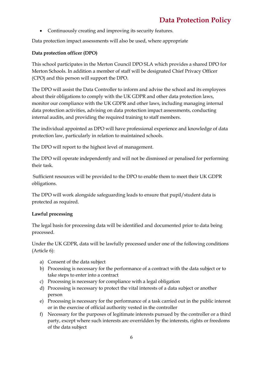• Continuously creating and improving its security features.

Data protection impact assessments will also be used, where appropriate

#### <span id="page-5-0"></span>**Data protection officer (DPO)**

This school participates in the Merton Council DPO SLA which provides a shared DPO for Merton Schools. In addition a member of staff will be designated Chief Privacy Officer (CPO) and this person will support the DPO.

The DPO will assist the Data Controller to inform and advise the school and its employees about their obligations to comply with the UK GDPR and other data protection laws, monitor our compliance with the UK GDPR and other laws, including managing internal data protection activities, advising on data protection impact assessments, conducting internal audits, and providing the required training to staff members.

The individual appointed as DPO will have professional experience and knowledge of data protection law, particularly in relation to maintained schools.

The DPO will report to the highest level of management.

The DPO will operate independently and will not be dismissed or penalised for performing their task.

Sufficient resources will be provided to the DPO to enable them to meet their UK GDPR obligations.

The DPO will work alongside safeguarding leads to ensure that pupil/student data is protected as required.

#### <span id="page-5-1"></span>**Lawful processing**

The legal basis for processing data will be identified and documented prior to data being processed.

Under the UK GDPR, data will be lawfully processed under one of the following conditions (Article 6):

- a) Consent of the data subject
- b) Processing is necessary for the performance of a contract with the data subject or to take steps to enter into a contract
- c) Processing is necessary for compliance with a legal obligation
- d) Processing is necessary to protect the vital interests of a data subject or another person
- e) Processing is necessary for the performance of a task carried out in the public interest or in the exercise of official authority vested in the controller
- f) Necessary for the purposes of legitimate interests pursued by the controller or a third party, except where such interests are overridden by the interests, rights or freedoms of the data subject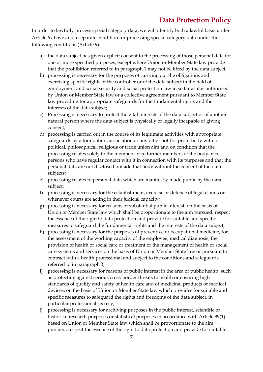In order to lawfully process special category data, we will identify both a lawful basis under Article 6 above and a separate condition for processing special category data under the following conditions (Article 9):

- a) the data subject has given explicit consent to the processing of those personal data for one or more specified purposes, except where Union or Member State law provide that the prohibition referred to in paragraph 1 may not be lifted by the data subject;
- b) processing is necessary for the purposes of carrying out the obligations and exercising specific rights of the controller or of the data subject in the field of employment and social security and social protection law in so far as it is authorised by Union or Member State law or a collective agreement pursuant to Member State law providing for appropriate safeguards for the fundamental rights and the interests of the data subject;
- c) Processing is necessary to protect the vital interests of the data subject or of another natural person where the data subject is physically or legally incapable of giving consent;
- d) processing is carried out in the course of its legitimate activities with appropriate safeguards by a foundation, association or any other not-for-profit body with a political, philosophical, religious or trade union aim and on condition that the processing relates solely to the members or to former members of the body or to persons who have regular contact with it in connection with its purposes and that the personal data are not disclosed outside that body without the consent of the data subjects;
- e) processing relates to personal data which are manifestly made public by the data subject;
- f) processing is necessary for the establishment, exercise or defence of legal claims or whenever courts are acting in their judicial capacity;
- g) processing is necessary for reasons of substantial public interest, on the basis of Union or Member State law which shall be proportionate to the aim pursued, respect the essence of the right to data protection and provide for suitable and specific measures to safeguard the fundamental rights and the interests of the data subject;
- h) processing is necessary for the purposes of preventive or occupational medicine, for the assessment of the working capacity of the employee, medical diagnosis, the provision of health or social care or treatment or the management of health or social care systems and services on the basis of Union or Member State law or pursuant to contract with a health professional and subject to the conditions and safeguards referred to in paragraph 3;
- i) processing is necessary for reasons of public interest in the area of public health, such as protecting against serious cross-border threats to health or ensuring high standards of quality and safety of health care and of medicinal products or medical devices, on the basis of Union or Member State law which provides for suitable and specific measures to safeguard the rights and freedoms of the data subject, in particular professional secrecy;
- j) processing is necessary for archiving purposes in the public interest, scientific or historical research purposes or statistical purposes in accordance with Article 89(1) based on Union or Member State law which shall be proportionate to the aim pursued, respect the essence of the right to data protection and provide for suitable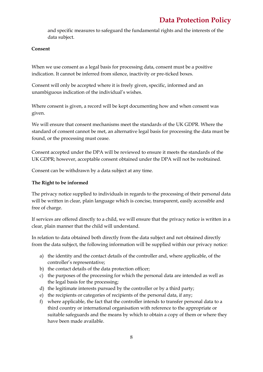and specific measures to safeguard the fundamental rights and the interests of the data subject.

#### <span id="page-7-0"></span>**Consent**

When we use consent as a legal basis for processing data, consent must be a positive indication. It cannot be inferred from silence, inactivity or pre-ticked boxes.

Consent will only be accepted where it is freely given, specific, informed and an unambiguous indication of the individual's wishes.

Where consent is given, a record will be kept documenting how and when consent was given.

We will ensure that consent mechanisms meet the standards of the UK GDPR. Where the standard of consent cannot be met, an alternative legal basis for processing the data must be found, or the processing must cease.

Consent accepted under the DPA will be reviewed to ensure it meets the standards of the UK GDPR; however, acceptable consent obtained under the DPA will not be reobtained.

Consent can be withdrawn by a data subject at any time.

#### <span id="page-7-1"></span>**The Right to be informed**

The privacy notice supplied to individuals in regards to the processing of their personal data will be written in clear, plain language which is concise, transparent, easily accessible and free of charge.

If services are offered directly to a child, we will ensure that the privacy notice is written in a clear, plain manner that the child will understand.

In relation to data obtained both directly from the data subject and not obtained directly from the data subject, the following information will be supplied within our privacy notice:

- a) the identity and the contact details of the controller and, where applicable, of the controller's representative;
- b) the contact details of the data protection officer;
- c) the purposes of the processing for which the personal data are intended as well as the legal basis for the processing;
- d) the legitimate interests pursued by the controller or by a third party;
- e) the recipients or categories of recipients of the personal data, if any;
- f) where applicable, the fact that the controller intends to transfer personal data to a third country or international organisation with reference to the appropriate or suitable safeguards and the means by which to obtain a copy of them or where they have been made available.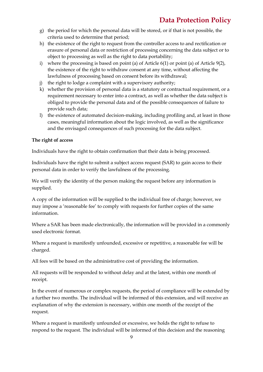- g) the period for which the personal data will be stored, or if that is not possible, the criteria used to determine that period;
- h) the existence of the right to request from the controller access to and rectification or erasure of personal data or restriction of processing concerning the data subject or to object to processing as well as the right to data portability;
- i) where the processing is based on point (a) of Article 6(1) or point (a) of Article 9(2), the existence of the right to withdraw consent at any time, without affecting the lawfulness of processing based on consent before its withdrawal;
- j) the right to lodge a complaint with a supervisory authority;
- k) whether the provision of personal data is a statutory or contractual requirement, or a requirement necessary to enter into a contract, as well as whether the data subject is obliged to provide the personal data and of the possible consequences of failure to provide such data;
- l) the existence of automated decision-making, including profiling and, at least in those cases, meaningful information about the logic involved, as well as the significance and the envisaged consequences of such processing for the data subject.

#### <span id="page-8-0"></span>**The right of access**

Individuals have the right to obtain confirmation that their data is being processed.

Individuals have the right to submit a subject access request (SAR) to gain access to their personal data in order to verify the lawfulness of the processing.

We will verify the identity of the person making the request before any information is supplied.

A copy of the information will be supplied to the individual free of charge; however, we may impose a 'reasonable fee' to comply with requests for further copies of the same information.

Where a SAR has been made electronically, the information will be provided in a commonly used electronic format.

Where a request is manifestly unfounded, excessive or repetitive, a reasonable fee will be charged.

All fees will be based on the administrative cost of providing the information.

All requests will be responded to without delay and at the latest, within one month of receipt.

In the event of numerous or complex requests, the period of compliance will be extended by a further two months. The individual will be informed of this extension, and will receive an explanation of why the extension is necessary, within one month of the receipt of the request.

Where a request is manifestly unfounded or excessive, we holds the right to refuse to respond to the request. The individual will be informed of this decision and the reasoning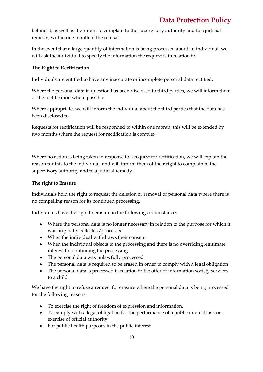behind it, as well as their right to complain to the supervisory authority and to a judicial remedy, within one month of the refusal.

In the event that a large quantity of information is being processed about an individual, we will ask the individual to specify the information the request is in relation to.

#### <span id="page-9-0"></span>**The Right to Rectification**

Individuals are entitled to have any inaccurate or incomplete personal data rectified.

Where the personal data in question has been disclosed to third parties, we will inform them of the rectification where possible.

Where appropriate, we will inform the individual about the third parties that the data has been disclosed to.

Requests for rectification will be responded to within one month; this will be extended by two months where the request for rectification is complex.

Where no action is being taken in response to a request for rectification, we will explain the reason for this to the individual, and will inform them of their right to complain to the supervisory authority and to a judicial remedy.

#### <span id="page-9-1"></span>**The right to Erasure**

Individuals hold the right to request the deletion or removal of personal data where there is no compelling reason for its continued processing.

Individuals have the right to erasure in the following circumstances:

- Where the personal data is no longer necessary in relation to the purpose for which it was originally collected/processed
- When the individual withdraws their consent
- When the individual objects to the processing and there is no overriding legitimate interest for continuing the processing
- The personal data was unlawfully processed
- The personal data is required to be erased in order to comply with a legal obligation
- The personal data is processed in relation to the offer of information society services to a child

We have the right to refuse a request for erasure where the personal data is being processed for the following reasons:

- To exercise the right of freedom of expression and information.
- To comply with a legal obligation for the performance of a public interest task or exercise of official authority
- For public health purposes in the public interest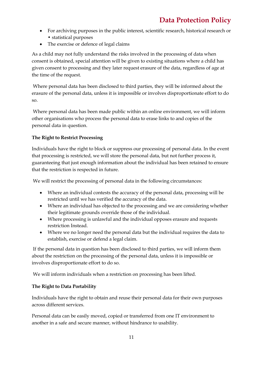- For archiving purposes in the public interest, scientific research, historical research or • statistical purposes
- The exercise or defence of legal claims

As a child may not fully understand the risks involved in the processing of data when consent is obtained, special attention will be given to existing situations where a child has given consent to processing and they later request erasure of the data, regardless of age at the time of the request.

Where personal data has been disclosed to third parties, they will be informed about the erasure of the personal data, unless it is impossible or involves disproportionate effort to do so.

Where personal data has been made public within an online environment, we will inform other organisations who process the personal data to erase links to and copies of the personal data in question.

#### <span id="page-10-0"></span>**The Right to Restrict Processing**

Individuals have the right to block or suppress our processing of personal data. In the event that processing is restricted, we will store the personal data, but not further process it, guaranteeing that just enough information about the individual has been retained to ensure that the restriction is respected in future.

We will restrict the processing of personal data in the following circumstances:

- Where an individual contests the accuracy of the personal data, processing will be restricted until we has verified the accuracy of the data.
- Where an individual has objected to the processing and we are considering whether their legitimate grounds override those of the individual.
- Where processing is unlawful and the individual opposes erasure and requests restriction Instead.
- Where we no longer need the personal data but the individual requires the data to establish, exercise or defend a legal claim.

If the personal data in question has been disclosed to third parties, we will inform them about the restriction on the processing of the personal data, unless it is impossible or involves disproportionate effort to do so.

We will inform individuals when a restriction on processing has been lifted.

#### <span id="page-10-1"></span>**The Right to Data Portability**

Individuals have the right to obtain and reuse their personal data for their own purposes across different services.

Personal data can be easily moved, copied or transferred from one IT environment to another in a safe and secure manner, without hindrance to usability.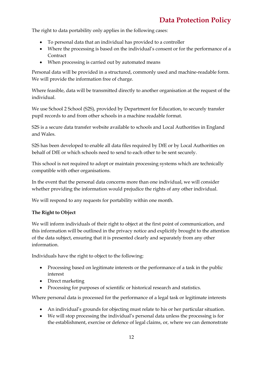The right to data portability only applies in the following cases:

- To personal data that an individual has provided to a controller
- Where the processing is based on the individual's consent or for the performance of a Contract
- When processing is carried out by automated means

Personal data will be provided in a structured, commonly used and machine-readable form. We will provide the information free of charge.

Where feasible, data will be transmitted directly to another organisation at the request of the individual.

We use School 2 School (S2S), provided by Department for Education, to securely transfer pupil records to and from other schools in a machine readable format.

S2S is a secure data transfer website available to schools and Local Authorities in England and Wales.

S2S has been developed to enable all data files required by DfE or by Local Authorities on behalf of DfE or which schools need to send to each other to be sent securely.

This school is not required to adopt or maintain processing systems which are technically compatible with other organisations.

In the event that the personal data concerns more than one individual, we will consider whether providing the information would prejudice the rights of any other individual.

We will respond to any requests for portability within one month.

#### <span id="page-11-0"></span>**The Right to Object**

We will inform individuals of their right to object at the first point of communication, and this information will be outlined in the privacy notice and explicitly brought to the attention of the data subject, ensuring that it is presented clearly and separately from any other information.

Individuals have the right to object to the following:

- Processing based on legitimate interests or the performance of a task in the public interest
- Direct marketing
- Processing for purposes of scientific or historical research and statistics.

Where personal data is processed for the performance of a legal task or legitimate interests

- An individual's grounds for objecting must relate to his or her particular situation.
- We will stop processing the individual's personal data unless the processing is for the establishment, exercise or defence of legal claims, or, where we can demonstrate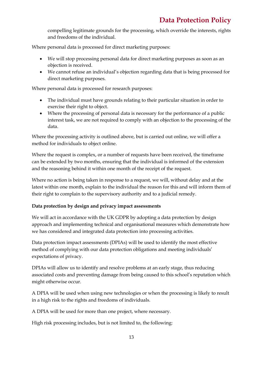compelling legitimate grounds for the processing, which override the interests, rights and freedoms of the individual.

Where personal data is processed for direct marketing purposes:

- We will stop processing personal data for direct marketing purposes as soon as an objection is received.
- We cannot refuse an individual's objection regarding data that is being processed for direct marketing purposes.

Where personal data is processed for research purposes:

- The individual must have grounds relating to their particular situation in order to exercise their right to object.
- Where the processing of personal data is necessary for the performance of a public interest task, we are not required to comply with an objection to the processing of the data.

Where the processing activity is outlined above, but is carried out online, we will offer a method for individuals to object online.

Where the request is complex, or a number of requests have been received, the timeframe can be extended by two months, ensuring that the individual is informed of the extension and the reasoning behind it within one month of the receipt of the request.

Where no action is being taken in response to a request, we will, without delay and at the latest within one month, explain to the individual the reason for this and will inform them of their right to complain to the supervisory authority and to a judicial remedy.

#### <span id="page-12-0"></span>**Data protection by design and privacy impact assessments**

We will act in accordance with the UK GDPR by adopting a data protection by design approach and implementing technical and organisational measures which demonstrate how we has considered and integrated data protection into processing activities.

Data protection impact assessments (DPIAs) will be used to identify the most effective method of complying with our data protection obligations and meeting individuals' expectations of privacy.

DPIAs will allow us to identify and resolve problems at an early stage, thus reducing associated costs and preventing damage from being caused to this school's reputation which might otherwise occur.

A DPIA will be used when using new technologies or when the processing is likely to result in a high risk to the rights and freedoms of individuals.

A DPIA will be used for more than one project, where necessary.

High risk processing includes, but is not limited to, the following: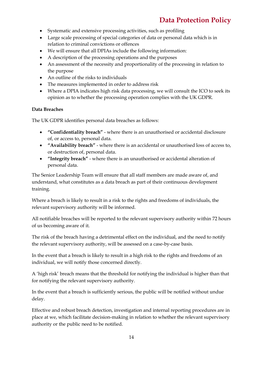- Systematic and extensive processing activities, such as profiling
- Large scale processing of special categories of data or personal data which is in relation to criminal convictions or offences
- We will ensure that all DPIAs include the following information:
- A description of the processing operations and the purposes
- An assessment of the necessity and proportionality of the processing in relation to the purpose
- An outline of the risks to individuals
- The measures implemented in order to address risk
- Where a DPIA indicates high risk data processing, we will consult the ICO to seek its opinion as to whether the processing operation complies with the UK GDPR.

#### <span id="page-13-0"></span>**Data Breaches**

The UK GDPR identifies personal data breaches as follows:

- **"Confidentiality breach"** where there is an unauthorised or accidental disclosure of, or access to, personal data.
- **"Availability breach"** where there is an accidental or unauthorised loss of access to, or destruction of, personal data.
- **"Integrity breach"** where there is an unauthorised or accidental alteration of personal data.

The Senior Leadership Team will ensure that all staff members are made aware of, and understand, what constitutes as a data breach as part of their continuous development training.

Where a breach is likely to result in a risk to the rights and freedoms of individuals, the relevant supervisory authority will be informed.

All notifiable breaches will be reported to the relevant supervisory authority within 72 hours of us becoming aware of it.

The risk of the breach having a detrimental effect on the individual, and the need to notify the relevant supervisory authority, will be assessed on a case-by-case basis.

In the event that a breach is likely to result in a high risk to the rights and freedoms of an individual, we will notify those concerned directly.

A 'high risk' breach means that the threshold for notifying the individual is higher than that for notifying the relevant supervisory authority.

In the event that a breach is sufficiently serious, the public will be notified without undue delay.

Effective and robust breach detection, investigation and internal reporting procedures are in place at we, which facilitate decision-making in relation to whether the relevant supervisory authority or the public need to be notified.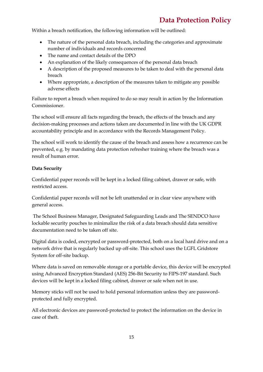Within a breach notification, the following information will be outlined:

- The nature of the personal data breach, including the categories and approximate number of individuals and records concerned
- The name and contact details of the DPO
- An explanation of the likely consequences of the personal data breach
- A description of the proposed measures to be taken to deal with the personal data breach
- Where appropriate, a description of the measures taken to mitigate any possible adverse effects

Failure to report a breach when required to do so may result in action by the Information Commissioner.

The school will ensure all facts regarding the breach, the effects of the breach and any decision-making processes and actions taken are documented in line with the UK GDPR accountability principle and in accordance with the Records Management Policy.

The school will work to identify the cause of the breach and assess how a recurrence can be prevented, e.g. by mandating data protection refresher training where the breach was a result of human error.

#### <span id="page-14-0"></span>**Data Security**

Confidential paper records will be kept in a locked filing cabinet, drawer or safe, with restricted access.

Confidential paper records will not be left unattended or in clear view anywhere with general access.

The School Business Manager, Designated Safeguarding Leads and The SENDCO have lockable security pouches to minimalize the risk of a data breach should data sensitive documentation need to be taken off site.

Digital data is coded, encrypted or password-protected, both on a local hard drive and on a network drive that is regularly backed up off-site. This school uses the LGFL Gridstore System for off-site backup.

Where data is saved on removable storage or a portable device, this device will be encrypted using Advanced Encryption Standard (AES) 256-Bit Security to FIPS-197 standard. Such devices will be kept in a locked filing cabinet, drawer or safe when not in use.

Memory sticks will not be used to hold personal information unless they are passwordprotected and fully encrypted.

All electronic devices are password-protected to protect the information on the device in case of theft.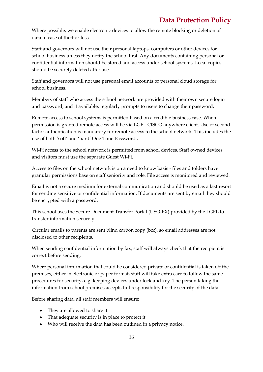Where possible, we enable electronic devices to allow the remote blocking or deletion of data in case of theft or loss.

Staff and governors will not use their personal laptops, computers or other devices for school business unless they notify the school first. Any documents containing personal or confidential information should be stored and access under school systems. Local copies should be securely deleted after use.

Staff and governors will not use personal email accounts or personal cloud storage for school business.

Members of staff who access the school network are provided with their own secure login and password, and if available, regularly prompts to users to change their password.

Remote access to school systems is permitted based on a credible business case. When permission is granted remote access will be via LGFL CISCO anywhere client. Use of second factor authentication is mandatory for remote access to the school network. This includes the use of both 'soft' and 'hard' One Time Passwords.

Wi-Fi access to the school network is permitted from school devices. Staff owned devices and visitors must use the separate Guest Wi-Fi.

Access to files on the school network is on a need to know basis - files and folders have granular permissions base on staff seniority and role. File access is monitored and reviewed.

Email is not a secure medium for external communication and should be used as a last resort for sending sensitive or confidential information. If documents are sent by email they should be encrypted with a password.

This school uses the Secure Document Transfer Portal (USO-FX) provided by the LGFL to transfer information securely.

Circular emails to parents are sent blind carbon copy (bcc), so email addresses are not disclosed to other recipients.

When sending confidential information by fax, staff will always check that the recipient is correct before sending.

Where personal information that could be considered private or confidential is taken off the premises, either in electronic or paper format, staff will take extra care to follow the same procedures for security, e.g. keeping devices under lock and key. The person taking the information from school premises accepts full responsibility for the security of the data.

Before sharing data, all staff members will ensure:

- They are allowed to share it.
- That adequate security is in place to protect it.
- Who will receive the data has been outlined in a privacy notice.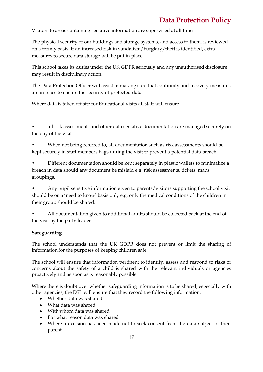Visitors to areas containing sensitive information are supervised at all times.

The physical security of our buildings and storage systems, and access to them, is reviewed on a termly basis. If an increased risk in vandalism/burglary/theft is identified, extra measures to secure data storage will be put in place.

This school takes its duties under the UK GDPR seriously and any unauthorised disclosure may result in disciplinary action.

The Data Protection Officer will assist in making sure that continuity and recovery measures are in place to ensure the security of protected data.

Where data is taken off site for Educational visits all staff will ensure

• all risk assessments and other data sensitive documentation are managed securely on the day of the visit.

• When not being referred to, all documentation such as risk assessments should be kept securely in staff members bags during the visit to prevent a potential data breach.

• Different documentation should be kept separately in plastic wallets to minimalize a breach in data should any document be mislaid e.g. risk assessments, tickets, maps, groupings.

• Any pupil sensitive information given to parents/visitors supporting the school visit should be on a 'need to know' basis only e.g. only the medical conditions of the children in their group should be shared.

• All documentation given to additional adults should be collected back at the end of the visit by the party leader.

#### <span id="page-16-0"></span>**Safeguarding**

The school understands that the UK GDPR does not prevent or limit the sharing of information for the purposes of keeping children safe.

The school will ensure that information pertinent to identify, assess and respond to risks or concerns about the safety of a child is shared with the relevant individuals or agencies proactively and as soon as is reasonably possible.

Where there is doubt over whether safeguarding information is to be shared, especially with other agencies, the DSL will ensure that they record the following information:

- Whether data was shared
- What data was shared
- With whom data was shared
- For what reason data was shared
- Where a decision has been made not to seek consent from the data subject or their parent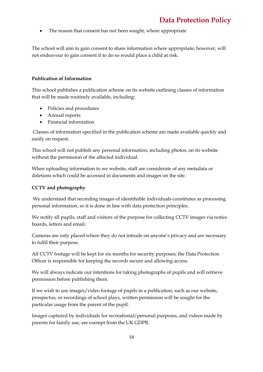The reason that consent has not been sought, where appropriate

The school will aim to gain consent to share information where appropriate; however, will not endeavour to gain consent if to do so would place a child at risk.

#### <span id="page-17-0"></span>**Publication of Information**

This school publishes a publication scheme on its website outlining classes of information that will be made routinely available, including:

- Policies and procedures
- Annual reports
- Financial information

Classes of information specified in the publication scheme are made available quickly and easily on request.

This school will not publish any personal information, including photos, on its website without the permission of the affected individual.

When uploading information to we website, staff are considerate of any metadata or deletions which could be accessed in documents and images on the site.

#### <span id="page-17-1"></span>**CCTV and photography**

We understand that recording images of identifiable individuals constitutes as processing personal information, so it is done in line with data protection principles.

We notify all pupils, staff and visitors of the purpose for collecting CCTV images via notice boards, letters and email.

Cameras are only placed where they do not intrude on anyone's privacy and are necessary to fulfil their purpose.

All CCTV footage will be kept for six months for security purposes; the Data Protection Officer is responsible for keeping the records secure and allowing access.

We will always indicate our intentions for taking photographs of pupils and will retrieve permission before publishing them.

If we wish to use images/video footage of pupils in a publication, such as our website, prospectus, or recordings of school plays, written permission will be sought for the particular usage from the parent of the pupil.

Images captured by individuals for recreational/personal purposes, and videos made by parents for family use, are exempt from the UK GDPR.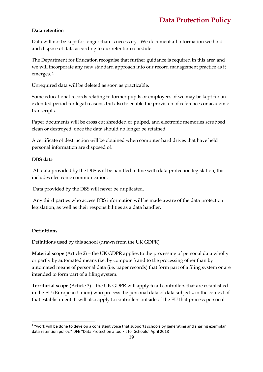#### <span id="page-18-0"></span>**Data retention**

Data will not be kept for longer than is necessary. We document all information we hold and dispose of data according to our retention schedule.

The Department for Education recognise that further guidance is required in this area and we will incorporate any new standard approach into our record management practice as it emerges. <sup>1</sup>

Unrequired data will be deleted as soon as practicable.

Some educational records relating to former pupils or employees of we may be kept for an extended period for legal reasons, but also to enable the provision of references or academic transcripts.

Paper documents will be cross cut shredded or pulped, and electronic memories scrubbed clean or destroyed, once the data should no longer be retained.

A certificate of destruction will be obtained when computer hard drives that have held personal information are disposed of.

#### <span id="page-18-1"></span>**DBS data**

All data provided by the DBS will be handled in line with data protection legislation; this includes electronic communication.

Data provided by the DBS will never be duplicated.

Any third parties who access DBS information will be made aware of the data protection legislation, as well as their responsibilities as a data handler.

#### <span id="page-18-2"></span>**Definitions**

-

Definitions used by this school (drawn from the UK GDPR)

**Material scope** (Article 2) – the UK GDPR applies to the processing of personal data wholly or partly by automated means (i.e. by computer) and to the processing other than by automated means of personal data (i.e. paper records) that form part of a filing system or are intended to form part of a filing system.

**Territorial scope** (Article 3) – the UK GDPR will apply to all controllers that are established in the EU (European Union) who process the personal data of data subjects, in the context of that establishment. It will also apply to controllers outside of the EU that process personal

 $1$  "work will be done to develop a consistent voice that supports schools by generating and sharing exemplar data retention policy." DFE "Data Protection a toolkit for Schools" April 2018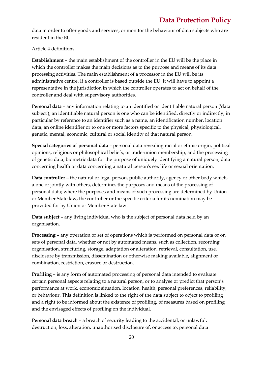data in order to offer goods and services, or monitor the behaviour of data subjects who are resident in the EU.

Article 4 definitions

**Establishment** – the main establishment of the controller in the EU will be the place in which the controller makes the main decisions as to the purpose and means of its data processing activities. The main establishment of a processor in the EU will be its administrative centre. If a controller is based outside the EU, it will have to appoint a representative in the jurisdiction in which the controller operates to act on behalf of the controller and deal with supervisory authorities.

**Personal data** – any information relating to an identified or identifiable natural person ('data subject'); an identifiable natural person is one who can be identified, directly or indirectly, in particular by reference to an identifier such as a name, an identification number, location data, an online identifier or to one or more factors specific to the physical, physiological, genetic, mental, economic, cultural or social identity of that natural person.

**Special categories of personal data** – personal data revealing racial or ethnic origin, political opinions, religious or philosophical beliefs, or trade-union membership, and the processing of genetic data, biometric data for the purpose of uniquely identifying a natural person, data concerning health or data concerning a natural person's sex life or sexual orientation.

**Data controller** – the natural or legal person, public authority, agency or other body which, alone or jointly with others, determines the purposes and means of the processing of personal data; where the purposes and means of such processing are determined by Union or Member State law, the controller or the specific criteria for its nomination may be provided for by Union or Member State law.

**Data subject** – any living individual who is the subject of personal data held by an organisation.

**Processing** – any operation or set of operations which is performed on personal data or on sets of personal data, whether or not by automated means, such as collection, recording, organisation, structuring, storage, adaptation or alteration, retrieval, consultation, use, disclosure by transmission, dissemination or otherwise making available, alignment or combination, restriction, erasure or destruction.

**Profiling** – is any form of automated processing of personal data intended to evaluate certain personal aspects relating to a natural person, or to analyse or predict that person's performance at work, economic situation, location, health, personal preferences, reliability, or behaviour. This definition is linked to the right of the data subject to object to profiling and a right to be informed about the existence of profiling, of measures based on profiling and the envisaged effects of profiling on the individual.

**Personal data breach** – a breach of security leading to the accidental, or unlawful, destruction, loss, alteration, unauthorised disclosure of, or access to, personal data